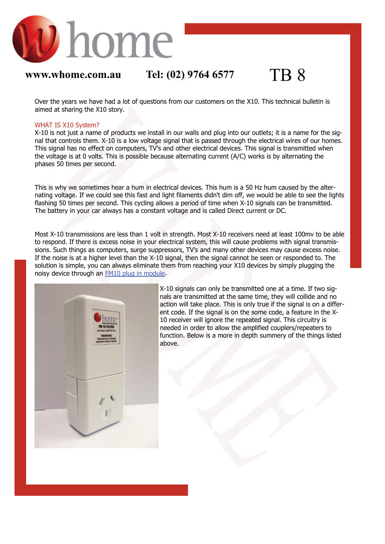

## **www.whome.com.au Tel: (02) 9764 6577** TB 8

Over the years we have had a lot of questions from our customers on the X10. This technical bulletin is aimed at sharing the X10 story.

### WHAT IS X10 System?

X-10 is not just a name of products we install in our walls and plug into our outlets; it is a name for the signal that controls them. X-10 is a low voltage signal that is passed through the electrical wires of our homes. This signal has no effect on computers, TV's and other electrical devices. This signal is transmitted when the voltage is at 0 volts. This is possible because alternating current (A/C) works is by alternating the phases 50 times per second.

This is why we sometimes hear a hum in electrical devices. This hum is a 50 Hz hum caused by the alternating voltage. If we could see this fast and light filaments didn't dim off, we would be able to see the lights flashing 50 times per second. This cycling allows a period of time when X-10 signals can be transmitted. The battery in your car always has a constant voltage and is called Direct current or DC.

Most X-10 transmissions are less than 1 volt in strength. Most X-10 receivers need at least 100mv to be able to respond. If there is excess noise in your electrical system, this will cause problems with signal transmissions. Such things as computers, surge suppressors, TV's and many other devices may cause excess noise. If the noise is at a higher level than the X-10 signal, then the signal cannot be seen or responded to. The solution is simple, you can always eliminate them from reaching your X10 devices by simply plugging the noisy device through an [FM10 plug in module.](http://www.whomedigital.com.au/prod155.htm)



X-10 signals can only be transmitted one at a time. If two signals are transmitted at the same time, they will collide and no action will take place. This is only true if the signal is on a different code. If the signal is on the some code, a feature in the X-10 receiver will ignore the repeated signal. This circuitry is needed in order to allow the amplified couplers/repeaters to function. Below is a more in depth summery of the things listed above.